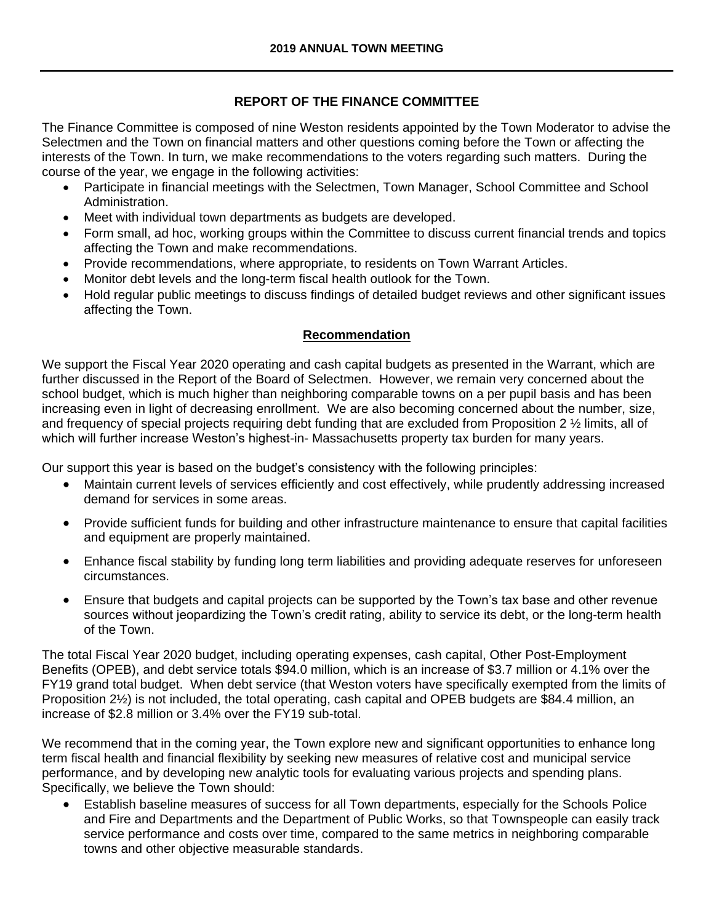## **REPORT OF THE FINANCE COMMITTEE**

The Finance Committee is composed of nine Weston residents appointed by the Town Moderator to advise the Selectmen and the Town on financial matters and other questions coming before the Town or affecting the interests of the Town. In turn, we make recommendations to the voters regarding such matters. During the course of the year, we engage in the following activities:

- Participate in financial meetings with the Selectmen, Town Manager, School Committee and School Administration.
- Meet with individual town departments as budgets are developed.
- Form small, ad hoc, working groups within the Committee to discuss current financial trends and topics affecting the Town and make recommendations.
- Provide recommendations, where appropriate, to residents on Town Warrant Articles.
- Monitor debt levels and the long-term fiscal health outlook for the Town.
- Hold regular public meetings to discuss findings of detailed budget reviews and other significant issues affecting the Town.

#### **Recommendation**

We support the Fiscal Year 2020 operating and cash capital budgets as presented in the Warrant, which are further discussed in the Report of the Board of Selectmen. However, we remain very concerned about the school budget, which is much higher than neighboring comparable towns on a per pupil basis and has been increasing even in light of decreasing enrollment. We are also becoming concerned about the number, size, and frequency of special projects requiring debt funding that are excluded from Proposition 2 ½ limits, all of which will further increase Weston's highest-in- Massachusetts property tax burden for many years.

Our support this year is based on the budget's consistency with the following principles:

- Maintain current levels of services efficiently and cost effectively, while prudently addressing increased demand for services in some areas.
- Provide sufficient funds for building and other infrastructure maintenance to ensure that capital facilities and equipment are properly maintained.
- Enhance fiscal stability by funding long term liabilities and providing adequate reserves for unforeseen circumstances.
- Ensure that budgets and capital projects can be supported by the Town's tax base and other revenue sources without jeopardizing the Town's credit rating, ability to service its debt, or the long-term health of the Town.

The total Fiscal Year 2020 budget, including operating expenses, cash capital, Other Post-Employment Benefits (OPEB), and debt service totals \$94.0 million, which is an increase of \$3.7 million or 4.1% over the FY19 grand total budget. When debt service (that Weston voters have specifically exempted from the limits of Proposition 2½) is not included, the total operating, cash capital and OPEB budgets are \$84.4 million, an increase of \$2.8 million or 3.4% over the FY19 sub-total.

We recommend that in the coming year, the Town explore new and significant opportunities to enhance long term fiscal health and financial flexibility by seeking new measures of relative cost and municipal service performance, and by developing new analytic tools for evaluating various projects and spending plans. Specifically, we believe the Town should:

 Establish baseline measures of success for all Town departments, especially for the Schools Police and Fire and Departments and the Department of Public Works, so that Townspeople can easily track service performance and costs over time, compared to the same metrics in neighboring comparable towns and other objective measurable standards.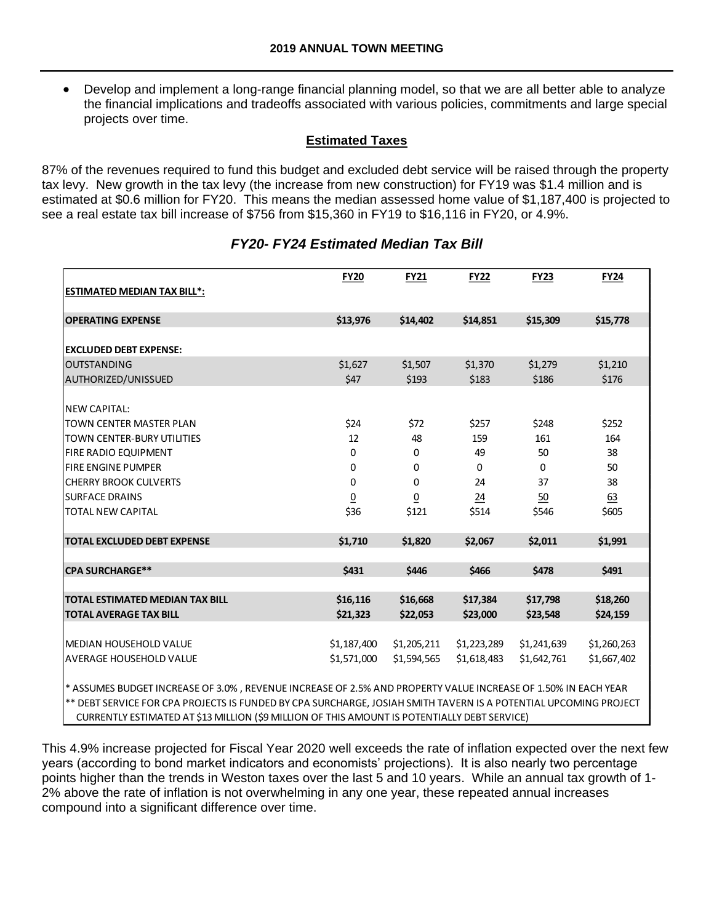Develop and implement a long-range financial planning model, so that we are all better able to analyze the financial implications and tradeoffs associated with various policies, commitments and large special projects over time.

## **Estimated Taxes**

87% of the revenues required to fund this budget and excluded debt service will be raised through the property tax levy. New growth in the tax levy (the increase from new construction) for FY19 was \$1.4 million and is estimated at \$0.6 million for FY20. This means the median assessed home value of \$1,187,400 is projected to see a real estate tax bill increase of \$756 from \$15,360 in FY19 to \$16,116 in FY20, or 4.9%.

| <b>ESTIMATED MEDIAN TAX BILL*:</b>                                                                                                                                                                                                | <b>FY20</b>    | <b>FY21</b>     | <b>FY22</b>     | <b>FY23</b> | <b>FY24</b> |
|-----------------------------------------------------------------------------------------------------------------------------------------------------------------------------------------------------------------------------------|----------------|-----------------|-----------------|-------------|-------------|
| <b>OPERATING EXPENSE</b>                                                                                                                                                                                                          | \$13,976       | \$14,402        | \$14,851        | \$15,309    | \$15,778    |
| <b>EXCLUDED DEBT EXPENSE:</b>                                                                                                                                                                                                     |                |                 |                 |             |             |
| <b>OUTSTANDING</b>                                                                                                                                                                                                                | \$1,627        | \$1,507         | \$1,370         | \$1,279     | \$1,210     |
| AUTHORIZED/UNISSUED                                                                                                                                                                                                               | \$47           | \$193           | \$183           | \$186       | \$176       |
| <b>NEW CAPITAL:</b><br><b>TOWN CENTER MASTER PLAN</b>                                                                                                                                                                             |                |                 |                 |             |             |
|                                                                                                                                                                                                                                   | \$24           | \$72            | \$257           | \$248       | \$252       |
| <b>TOWN CENTER-BURY UTILITIES</b>                                                                                                                                                                                                 | 12             | 48              | 159             | 161         | 164         |
| <b>FIRE RADIO EQUIPMENT</b>                                                                                                                                                                                                       | 0              | 0               | 49              | 50          | 38          |
| <b>FIRE ENGINE PUMPER</b>                                                                                                                                                                                                         | 0              | 0               | $\mathbf 0$     | 0           | 50          |
| <b>CHERRY BROOK CULVERTS</b>                                                                                                                                                                                                      | 0              | 0               | 24              | 37          | 38          |
| <b>SURFACE DRAINS</b>                                                                                                                                                                                                             | $\overline{0}$ | $\underline{0}$ | $\overline{24}$ | 50          | 63          |
| <b>TOTAL NEW CAPITAL</b>                                                                                                                                                                                                          | \$36           | \$121           | \$514           | \$546       | \$605       |
| <b>TOTAL EXCLUDED DEBT EXPENSE</b>                                                                                                                                                                                                | \$1,710        | \$1,820         | \$2,067         | \$2,011     | \$1,991     |
| <b>CPA SURCHARGE**</b>                                                                                                                                                                                                            | \$431          | \$446           | \$466           | \$478       | \$491       |
|                                                                                                                                                                                                                                   |                |                 |                 |             |             |
| <b>TOTAL ESTIMATED MEDIAN TAX BILL</b>                                                                                                                                                                                            | \$16,116       | \$16,668        | \$17,384        | \$17,798    | \$18,260    |
| <b>TOTAL AVERAGE TAX BILL</b>                                                                                                                                                                                                     | \$21,323       | \$22,053        | \$23,000        | \$23,548    | \$24,159    |
|                                                                                                                                                                                                                                   |                |                 |                 |             |             |
| MEDIAN HOUSEHOLD VALUE                                                                                                                                                                                                            | \$1,187,400    | \$1,205,211     | \$1,223,289     | \$1,241,639 | \$1,260,263 |
| lAVERAGE HOUSEHOLD VALUE                                                                                                                                                                                                          | \$1,571,000    | \$1,594,565     | \$1,618,483     | \$1,642,761 | \$1,667,402 |
| * ASSUMES BUDGET INCREASE OF 3.0%, REVENUE INCREASE OF 2.5% AND PROPERTY VALUE INCREASE OF 1.50% IN EACH YEAR<br>** DEBT SERVICE FOR CPA PROJECTS IS FUNDED BY CPA SURCHARGE. JOSIAH SMITH TAVERN IS A POTENTIAL UPCOMING PROJECT |                |                 |                 |             |             |

## *FY20- FY24 Estimated Median Tax Bill*

\*\* DEBT SERVICE FOR CPA PROJECTS IS FUNDED BY CPA SURCHARGE, JOSIAH SMITH TAVERN IS A POTENTIAL UPCOMING PROJECT CURRENTLY ESTIMATED AT \$13 MILLION (\$9 MILLION OF THIS AMOUNT IS POTENTIALLY DEBT SERVICE)

This 4.9% increase projected for Fiscal Year 2020 well exceeds the rate of inflation expected over the next few years (according to bond market indicators and economists' projections). It is also nearly two percentage points higher than the trends in Weston taxes over the last 5 and 10 years. While an annual tax growth of 1- 2% above the rate of inflation is not overwhelming in any one year, these repeated annual increases compound into a significant difference over time.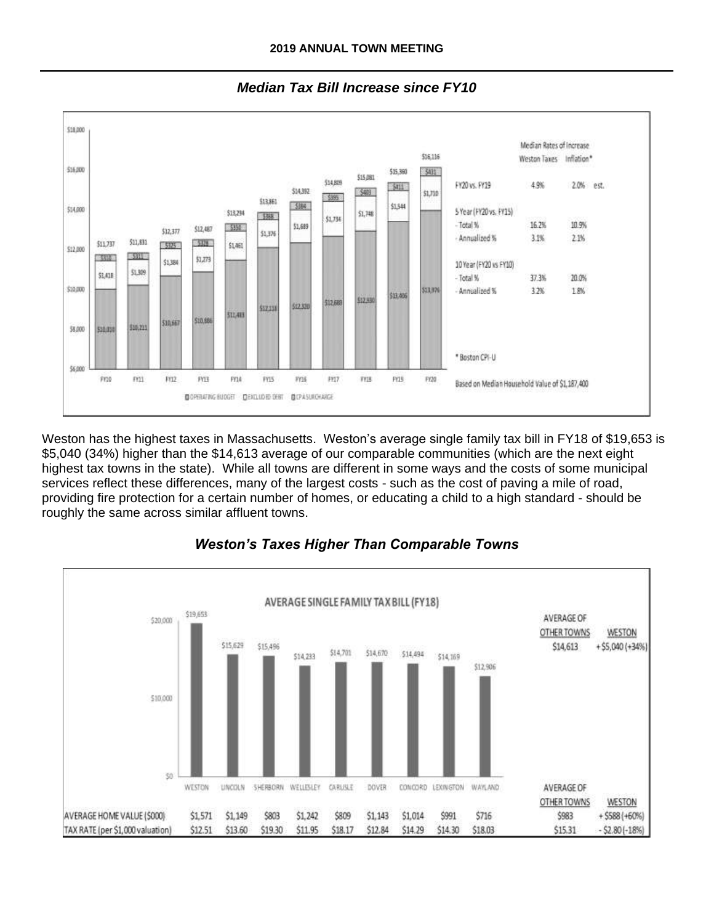

*Median Tax Bill Increase since FY10*

Weston has the highest taxes in Massachusetts. Weston's average single family tax bill in FY18 of \$19,653 is \$5,040 (34%) higher than the \$14,613 average of our comparable communities (which are the next eight highest tax towns in the state). While all towns are different in some ways and the costs of some municipal services reflect these differences, many of the largest costs - such as the cost of paving a mile of road, providing fire protection for a certain number of homes, or educating a child to a high standard - should be roughly the same across similar affluent towns.

# *Weston's Taxes Higher Than Comparable Towns*

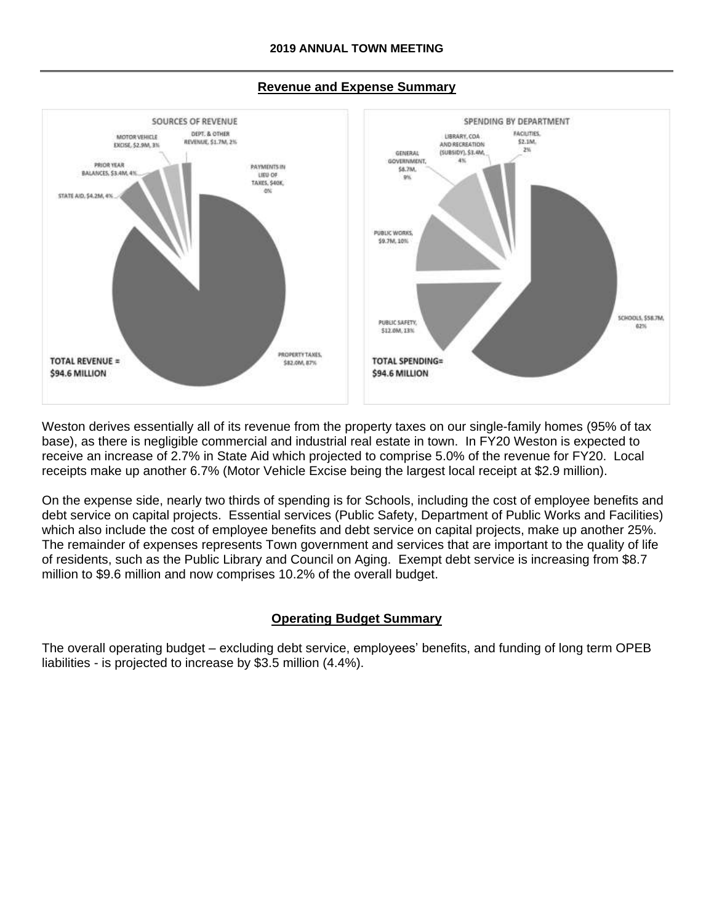

#### **Revenue and Expense Summary**

Weston derives essentially all of its revenue from the property taxes on our single-family homes (95% of tax base), as there is negligible commercial and industrial real estate in town. In FY20 Weston is expected to receive an increase of 2.7% in State Aid which projected to comprise 5.0% of the revenue for FY20. Local receipts make up another 6.7% (Motor Vehicle Excise being the largest local receipt at \$2.9 million).

On the expense side, nearly two thirds of spending is for Schools, including the cost of employee benefits and debt service on capital projects. Essential services (Public Safety, Department of Public Works and Facilities) which also include the cost of employee benefits and debt service on capital projects, make up another 25%. The remainder of expenses represents Town government and services that are important to the quality of life of residents, such as the Public Library and Council on Aging. Exempt debt service is increasing from \$8.7 million to \$9.6 million and now comprises 10.2% of the overall budget.

#### **Operating Budget Summary**

The overall operating budget – excluding debt service, employees' benefits, and funding of long term OPEB liabilities - is projected to increase by \$3.5 million (4.4%).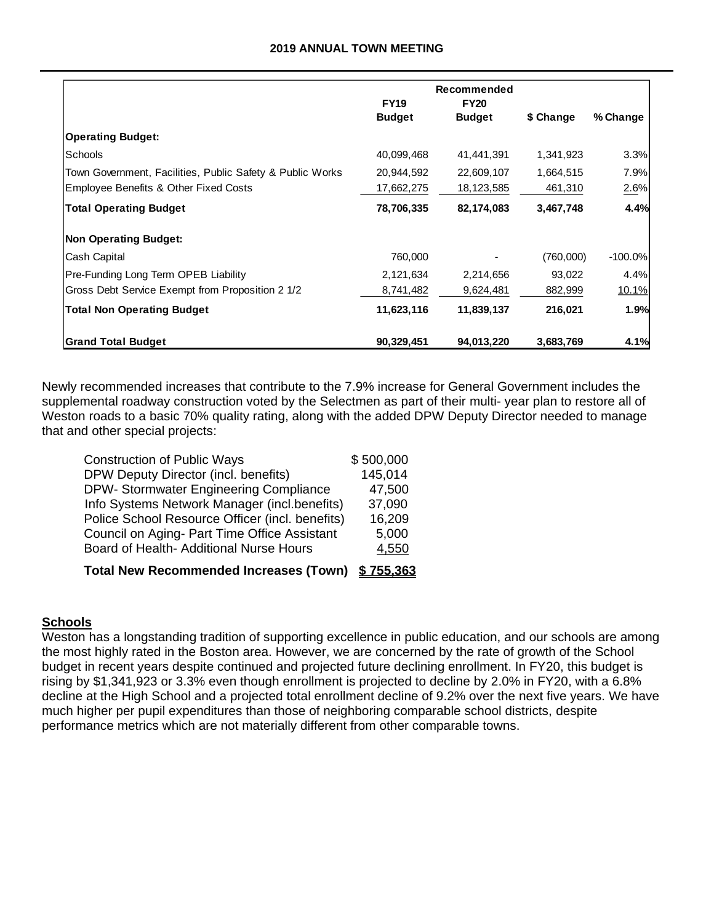#### **2019 ANNUAL TOWN MEETING**

|                                                           | Recommended<br><b>FY19</b> |               |           |            |
|-----------------------------------------------------------|----------------------------|---------------|-----------|------------|
|                                                           | <b>Budget</b>              | <b>Budget</b> | \$ Change | % Change   |
| <b>Operating Budget:</b>                                  |                            |               |           |            |
| Schools                                                   | 40,099,468                 | 41,441,391    | 1,341,923 | 3.3%       |
| Town Government, Facilities, Public Safety & Public Works | 20,944,592                 | 22,609,107    | 1,664,515 | 7.9%       |
| Employee Benefits & Other Fixed Costs                     | 17,662,275                 | 18,123,585    | 461,310   | 2.6%       |
| <b>Total Operating Budget</b>                             | 78,706,335                 | 82,174,083    | 3,467,748 | 4.4%       |
| <b>Non Operating Budget:</b>                              |                            |               |           |            |
| Cash Capital                                              | 760,000                    |               | (760,000) | $-100.0\%$ |
| Pre-Funding Long Term OPEB Liability                      | 2,121,634                  | 2,214,656     | 93,022    | 4.4%       |
| Gross Debt Service Exempt from Proposition 2 1/2          | 8,741,482                  | 9,624,481     | 882,999   | 10.1%      |
| <b>Total Non Operating Budget</b>                         | 11,623,116                 | 11,839,137    | 216,021   | 1.9%       |
| <b>Grand Total Budget</b>                                 | 90,329,451                 | 94,013,220    | 3,683,769 | 4.1%       |

Newly recommended increases that contribute to the 7.9% increase for General Government includes the supplemental roadway construction voted by the Selectmen as part of their multi- year plan to restore all of Weston roads to a basic 70% quality rating, along with the added DPW Deputy Director needed to manage that and other special projects:

| <b>Total New Recommended Increases (Town)</b>   | \$755,363 |
|-------------------------------------------------|-----------|
| Board of Health- Additional Nurse Hours         | 4,550     |
| Council on Aging- Part Time Office Assistant    | 5,000     |
| Police School Resource Officer (incl. benefits) | 16,209    |
| Info Systems Network Manager (incl.benefits)    | 37,090    |
| DPW- Stormwater Engineering Compliance          | 47,500    |
| DPW Deputy Director (incl. benefits)            | 145,014   |
| <b>Construction of Public Ways</b>              | \$500,000 |
|                                                 |           |

#### **Schools**

Weston has a longstanding tradition of supporting excellence in public education, and our schools are among the most highly rated in the Boston area. However, we are concerned by the rate of growth of the School budget in recent years despite continued and projected future declining enrollment. In FY20, this budget is rising by \$1,341,923 or 3.3% even though enrollment is projected to decline by 2.0% in FY20, with a 6.8% decline at the High School and a projected total enrollment decline of 9.2% over the next five years. We have much higher per pupil expenditures than those of neighboring comparable school districts, despite performance metrics which are not materially different from other comparable towns.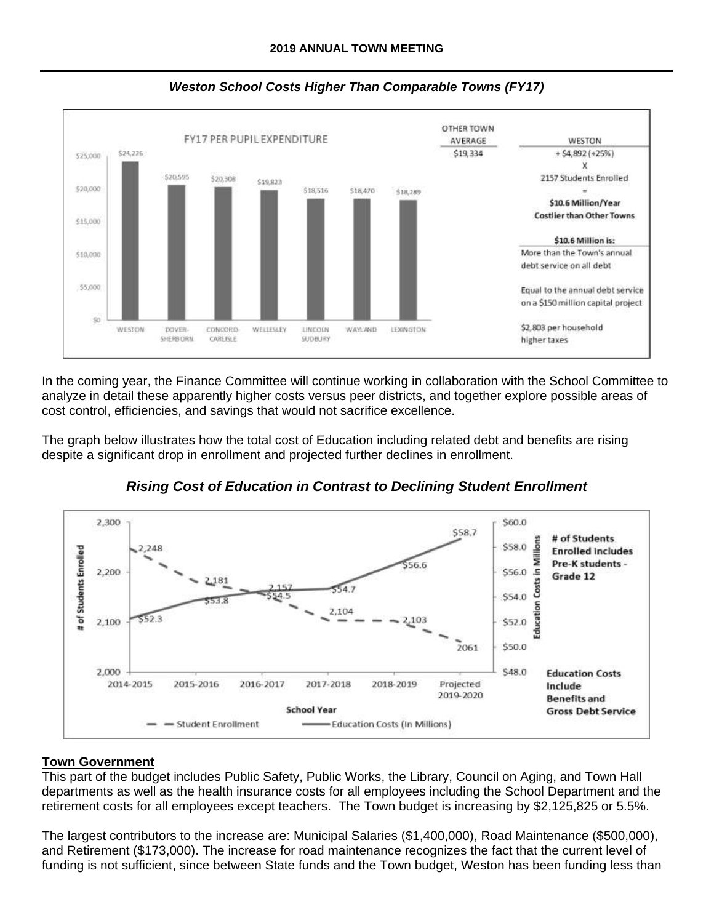

*Weston School Costs Higher Than Comparable Towns (FY17)*

In the coming year, the Finance Committee will continue working in collaboration with the School Committee to analyze in detail these apparently higher costs versus peer districts, and together explore possible areas of cost control, efficiencies, and savings that would not sacrifice excellence.

The graph below illustrates how the total cost of Education including related debt and benefits are rising despite a significant drop in enrollment and projected further declines in enrollment.



*Rising Cost of Education in Contrast to Declining Student Enrollment*

# **Town Government**

This part of the budget includes Public Safety, Public Works, the Library, Council on Aging, and Town Hall departments as well as the health insurance costs for all employees including the School Department and the retirement costs for all employees except teachers. The Town budget is increasing by \$2,125,825 or 5.5%.

The largest contributors to the increase are: Municipal Salaries (\$1,400,000), Road Maintenance (\$500,000), and Retirement (\$173,000). The increase for road maintenance recognizes the fact that the current level of funding is not sufficient, since between State funds and the Town budget, Weston has been funding less than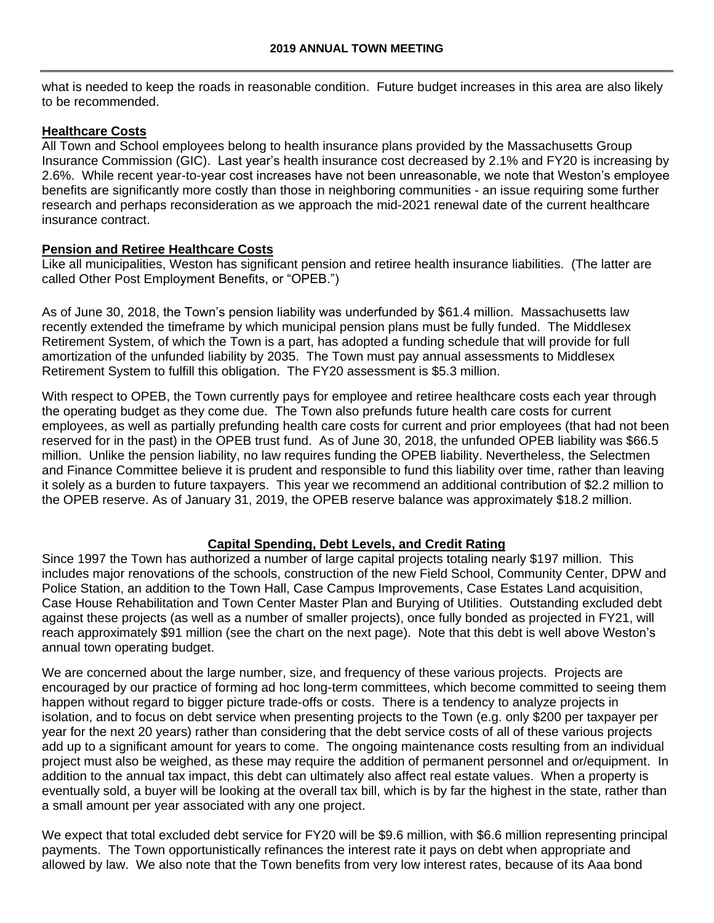what is needed to keep the roads in reasonable condition. Future budget increases in this area are also likely to be recommended.

#### **Healthcare Costs**

All Town and School employees belong to health insurance plans provided by the Massachusetts Group Insurance Commission (GIC). Last year's health insurance cost decreased by 2.1% and FY20 is increasing by 2.6%. While recent year-to-year cost increases have not been unreasonable, we note that Weston's employee benefits are significantly more costly than those in neighboring communities - an issue requiring some further research and perhaps reconsideration as we approach the mid-2021 renewal date of the current healthcare insurance contract.

#### **Pension and Retiree Healthcare Costs**

Like all municipalities, Weston has significant pension and retiree health insurance liabilities. (The latter are called Other Post Employment Benefits, or "OPEB.")

As of June 30, 2018, the Town's pension liability was underfunded by \$61.4 million. Massachusetts law recently extended the timeframe by which municipal pension plans must be fully funded. The Middlesex Retirement System, of which the Town is a part, has adopted a funding schedule that will provide for full amortization of the unfunded liability by 2035. The Town must pay annual assessments to Middlesex Retirement System to fulfill this obligation. The FY20 assessment is \$5.3 million.

With respect to OPEB, the Town currently pays for employee and retiree healthcare costs each year through the operating budget as they come due. The Town also prefunds future health care costs for current employees, as well as partially prefunding health care costs for current and prior employees (that had not been reserved for in the past) in the OPEB trust fund. As of June 30, 2018, the unfunded OPEB liability was \$66.5 million. Unlike the pension liability, no law requires funding the OPEB liability. Nevertheless, the Selectmen and Finance Committee believe it is prudent and responsible to fund this liability over time, rather than leaving it solely as a burden to future taxpayers. This year we recommend an additional contribution of \$2.2 million to the OPEB reserve. As of January 31, 2019, the OPEB reserve balance was approximately \$18.2 million.

# **Capital Spending, Debt Levels, and Credit Rating**

Since 1997 the Town has authorized a number of large capital projects totaling nearly \$197 million. This includes major renovations of the schools, construction of the new Field School, Community Center, DPW and Police Station, an addition to the Town Hall, Case Campus Improvements, Case Estates Land acquisition, Case House Rehabilitation and Town Center Master Plan and Burying of Utilities. Outstanding excluded debt against these projects (as well as a number of smaller projects), once fully bonded as projected in FY21, will reach approximately \$91 million (see the chart on the next page). Note that this debt is well above Weston's annual town operating budget.

We are concerned about the large number, size, and frequency of these various projects. Projects are encouraged by our practice of forming ad hoc long-term committees, which become committed to seeing them happen without regard to bigger picture trade-offs or costs. There is a tendency to analyze projects in isolation, and to focus on debt service when presenting projects to the Town (e.g. only \$200 per taxpayer per year for the next 20 years) rather than considering that the debt service costs of all of these various projects add up to a significant amount for years to come. The ongoing maintenance costs resulting from an individual project must also be weighed, as these may require the addition of permanent personnel and or/equipment. In addition to the annual tax impact, this debt can ultimately also affect real estate values. When a property is eventually sold, a buyer will be looking at the overall tax bill, which is by far the highest in the state, rather than a small amount per year associated with any one project.

We expect that total excluded debt service for FY20 will be \$9.6 million, with \$6.6 million representing principal payments. The Town opportunistically refinances the interest rate it pays on debt when appropriate and allowed by law. We also note that the Town benefits from very low interest rates, because of its Aaa bond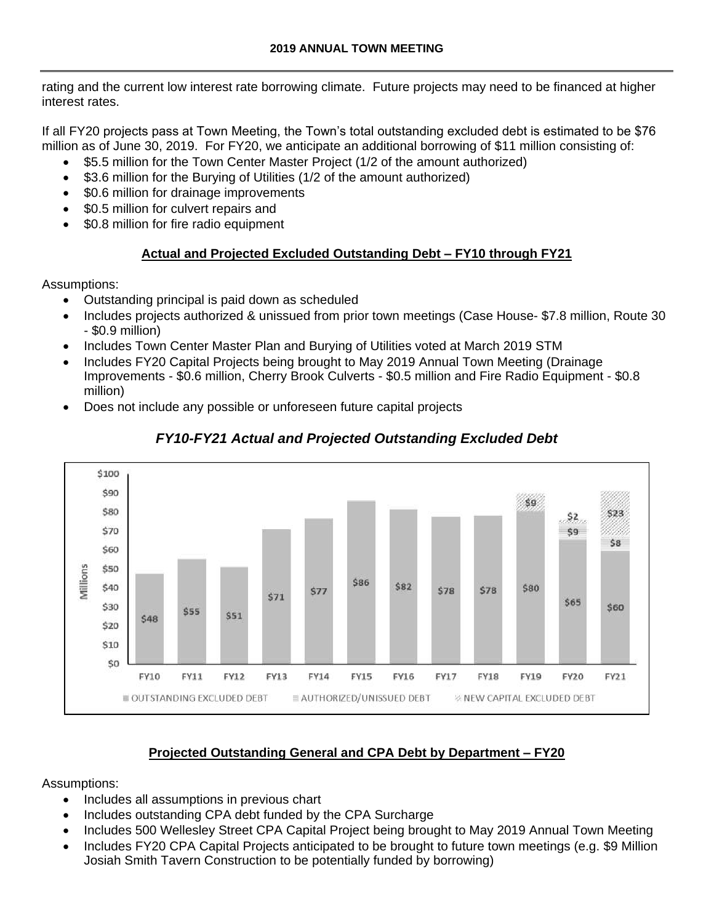rating and the current low interest rate borrowing climate. Future projects may need to be financed at higher interest rates.

If all FY20 projects pass at Town Meeting, the Town's total outstanding excluded debt is estimated to be \$76 million as of June 30, 2019. For FY20, we anticipate an additional borrowing of \$11 million consisting of:

- \$5.5 million for the Town Center Master Project (1/2 of the amount authorized)
- \$3.6 million for the Burying of Utilities (1/2 of the amount authorized)
- \$0.6 million for drainage improvements
- \$0.5 million for culvert repairs and
- \$0.8 million for fire radio equipment

# **Actual and Projected Excluded Outstanding Debt – FY10 through FY21**

Assumptions:

- Outstanding principal is paid down as scheduled
- Includes projects authorized & unissued from prior town meetings (Case House- \$7.8 million, Route 30 - \$0.9 million)
- Includes Town Center Master Plan and Burying of Utilities voted at March 2019 STM
- Includes FY20 Capital Projects being brought to May 2019 Annual Town Meeting (Drainage Improvements - \$0.6 million, Cherry Brook Culverts - \$0.5 million and Fire Radio Equipment - \$0.8 million)
- Does not include any possible or unforeseen future capital projects



# *FY10-FY21 Actual and Projected Outstanding Excluded Debt*

# **Projected Outstanding General and CPA Debt by Department – FY20**

Assumptions:

- Includes all assumptions in previous chart
- Includes outstanding CPA debt funded by the CPA Surcharge
- Includes 500 Wellesley Street CPA Capital Project being brought to May 2019 Annual Town Meeting
- Includes FY20 CPA Capital Projects anticipated to be brought to future town meetings (e.g. \$9 Million Josiah Smith Tavern Construction to be potentially funded by borrowing)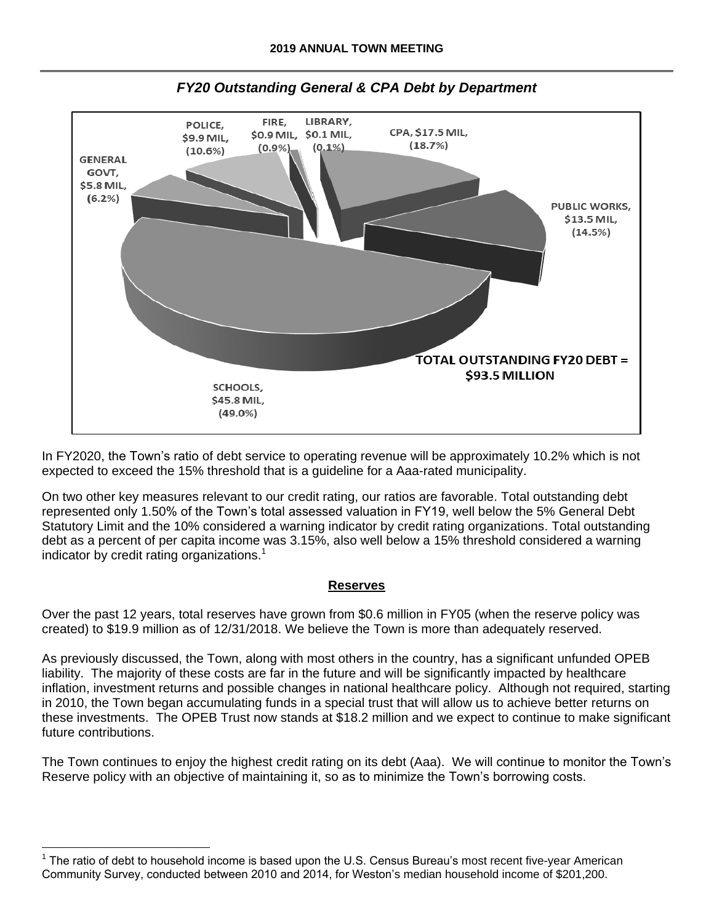

In FY2020, the Town's ratio of debt service to operating revenue will be approximately 10.2% which is not expected to exceed the 15% threshold that is a guideline for a Aaa-rated municipality.

On two other key measures relevant to our credit rating, our ratios are favorable. Total outstanding debt represented only 1.50% of the Town's total assessed valuation in FY19, well below the 5% General Debt Statutory Limit and the 10% considered a warning indicator by credit rating organizations. Total outstanding debt as a percent of per capita income was 3.15%, also well below a 15% threshold considered a warning indicator by credit rating organizations.<sup>1</sup>

#### **Reserves**

Over the past 12 years, total reserves have grown from \$0.6 million in FY05 (when the reserve policy was created) to \$19.9 million as of 12/31/2018. We believe the Town is more than adequately reserved.

As previously discussed, the Town, along with most others in the country, has a significant unfunded OPEB liability. The majority of these costs are far in the future and will be significantly impacted by healthcare inflation, investment returns and possible changes in national healthcare policy. Although not required, starting in 2010, the Town began accumulating funds in a special trust that will allow us to achieve better returns on these investments. The OPEB Trust now stands at \$18.2 million and we expect to continue to make significant future contributions.

The Town continues to enjoy the highest credit rating on its debt (Aaa). We will continue to monitor the Town's Reserve policy with an objective of maintaining it, so as to minimize the Town's borrowing costs.

 $\overline{a}$ 

<sup>1</sup> The ratio of debt to household income is based upon the U.S. Census Bureau's most recent five-year American Community Survey, conducted between 2010 and 2014, for Weston's median household income of \$201,200.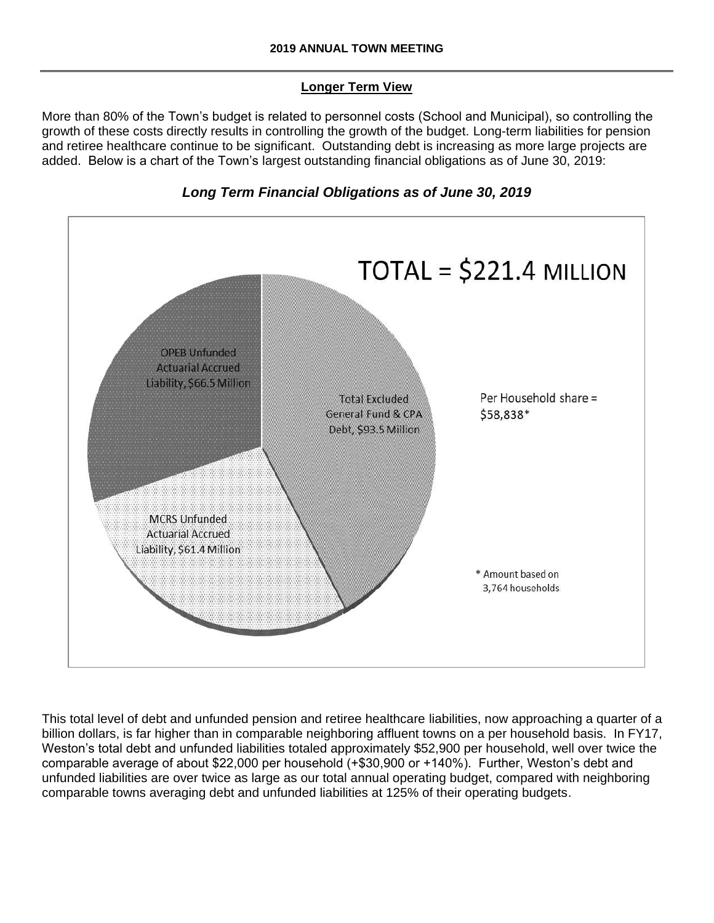## **Longer Term View**

More than 80% of the Town's budget is related to personnel costs (School and Municipal), so controlling the growth of these costs directly results in controlling the growth of the budget. Long-term liabilities for pension and retiree healthcare continue to be significant. Outstanding debt is increasing as more large projects are added. Below is a chart of the Town's largest outstanding financial obligations as of June 30, 2019:





This total level of debt and unfunded pension and retiree healthcare liabilities, now approaching a quarter of a billion dollars, is far higher than in comparable neighboring affluent towns on a per household basis. In FY17, Weston's total debt and unfunded liabilities totaled approximately \$52,900 per household, well over twice the comparable average of about \$22,000 per household (+\$30,900 or +140%). Further, Weston's debt and unfunded liabilities are over twice as large as our total annual operating budget, compared with neighboring comparable towns averaging debt and unfunded liabilities at 125% of their operating budgets.